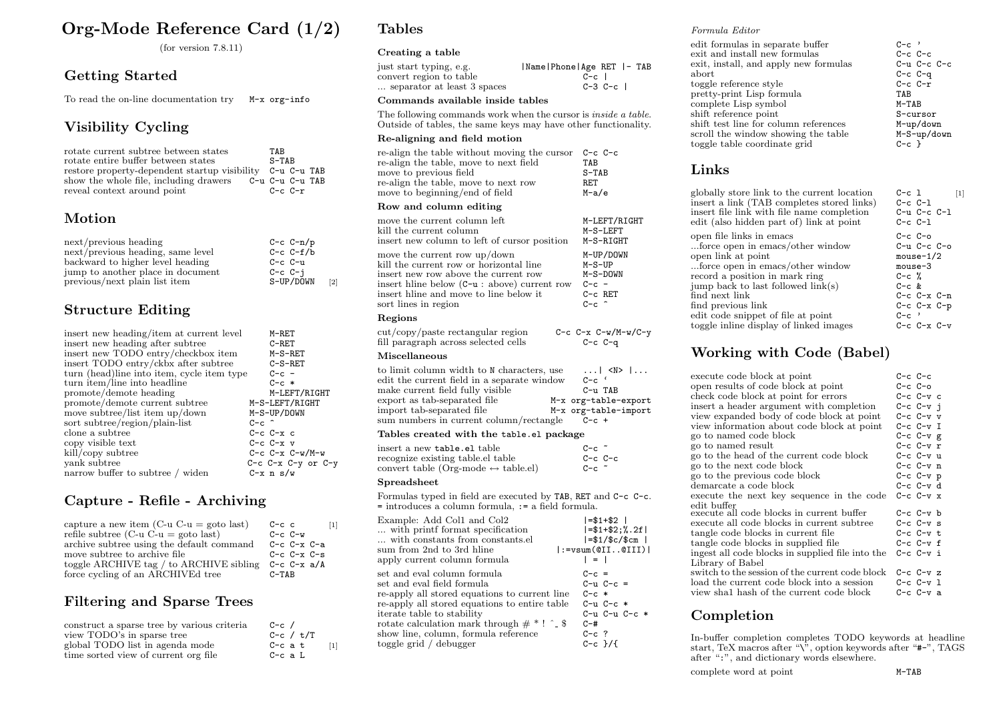# Org-Mode Reference Card (1/2)

(for version 7.8.11)

# Getting Started

To read the on-line documentation try M-x org-info

# Visibility Cycling

| rotate current subtree between states                     | <b>TAR</b>      |
|-----------------------------------------------------------|-----------------|
| rotate entire buffer between states                       | $S-TAB$         |
| restore property-dependent startup visibility C-u C-u TAB |                 |
| show the whole file, including drawers                    | C-u C-u C-u TAB |
| reveal context around point                               | $C-c$ $C-r$     |

# Motion

| next/previous heading             | $C-c C-n/p$ |                   |
|-----------------------------------|-------------|-------------------|
| next/previous heading, same level | $C-c C-f/b$ |                   |
| backward to higher level heading  | $C-c$ $C-u$ |                   |
| jump to another place in document | $C-c$ $C-i$ |                   |
| previous/next plain list item     | S-UP/DOWN   | $\lceil 2 \rceil$ |

# Structure Editing

| insert new heading/item at current level    | M-RET                      |
|---------------------------------------------|----------------------------|
| insert new heading after subtree            | $C-REF$                    |
| insert new TODO entry/checkbox item         | $M-S-RET$                  |
| insert TODO entry/ckbx after subtree        | $C-S-RET$                  |
| turn (head) line into item, cycle item type | $C-c$ –                    |
| turn item/line into headline                | $C-c$ *                    |
| promote/demote heading                      | M-LEFT/RIGHT               |
| promote/demote current subtree              | M-S-LEFT/RIGHT             |
| move subtree/list item up/down              | M-S-UP/DOWN                |
| sort subtree/region/plain-list              | $C-c$ $\hat{c}$            |
| clone a subtree                             | $C-c$ $C-x$ $c$            |
| copy visible text                           | $C-c$ $C-x$ $v$            |
| kill/copy subtree                           | $C-c$ $C-x$ $C-w/M-w$      |
| yank subtree                                | $C-c$ $C-x$ $C-y$ or $C-y$ |
| narrow buffer to subtree / widen            | $C - x$ n s/w              |
|                                             |                            |

# Capture - Refile - Archiving

| capture a new item $(C-u)$ c-u = goto last | $C-c$ c           |
|--------------------------------------------|-------------------|
| refile subtree (C-u C-u = goto last)       | $C-c$ $C-w$       |
| archive subtree using the default command  | $C-c$ $C-x$ $C-a$ |
| move subtree to archive file               | $C-c$ $C-x$ $C-s$ |
| toggle ARCHIVE tag / to ARCHIVE sibling    | $C-c$ $C-x$ $a/A$ |
| force cycling of an ARCHIVEd tree          | $C-TABLE$         |

# Filtering and Sparse Trees

| construct a sparse tree by various criteria | $C-c$ /     |                                                                                                                                                                                                                                                                |
|---------------------------------------------|-------------|----------------------------------------------------------------------------------------------------------------------------------------------------------------------------------------------------------------------------------------------------------------|
| view TODO's in sparse tree                  | C-c / t/T   |                                                                                                                                                                                                                                                                |
| global TODO list in agenda mode             | $C-c$ a $t$ | $[1] % \centering \includegraphics[width=0.9\columnwidth]{figures/fig_10.pdf} \caption{The graph $\mathcal{N}_1$ is a function of the number of~\textit{N}_1$ (left) and the number of~\textit{N}_2$ (right) are shown in \cite{N}_1$ (right).} \label{fig:1}$ |
| time sorted view of current org file        | $C-c$ a $L$ |                                                                                                                                                                                                                                                                |

# Tables

### Creating a table

| just start typing, e.g.     | Name Phone Age RET  - TAB |
|-----------------------------|---------------------------|
| convert region to table     | $C-c$                     |
| separator at least 3 spaces | $C-3$ $C-c$               |

#### Commands available inside tables

The following commands work when the cursor is *inside a table*. Outside of tables, the same keys may have other functionality.

### Re-aligning and field motion

| re-align the table without moving the cursor                                                                                                                                                                                                                                                     | C-c C-c   |
|--------------------------------------------------------------------------------------------------------------------------------------------------------------------------------------------------------------------------------------------------------------------------------------------------|-----------|
| re-align the table, move to next field                                                                                                                                                                                                                                                           | TAR       |
| move to previous field                                                                                                                                                                                                                                                                           | $S-TABLE$ |
| re-align the table, move to next row                                                                                                                                                                                                                                                             | RET       |
| move to beginning/end of field                                                                                                                                                                                                                                                                   | M-a/e     |
| $\mathbf{r}$ and $\mathbf{r}$ and $\mathbf{r}$ and $\mathbf{r}$ and $\mathbf{r}$ and $\mathbf{r}$ and $\mathbf{r}$ and $\mathbf{r}$ and $\mathbf{r}$ and $\mathbf{r}$ and $\mathbf{r}$ and $\mathbf{r}$ and $\mathbf{r}$ and $\mathbf{r}$ and $\mathbf{r}$ and $\mathbf{r}$ and $\mathbf{r}$ and |           |

#### Row and column editing

| move the current column left                   | M-LEFT/RIGHT              |
|------------------------------------------------|---------------------------|
| kill the current column                        | M-S-LEFT                  |
| insert new column to left of cursor position   | M-S-RIGHT                 |
| move the current row up/down                   | M-UP/DOWN                 |
| kill the current row or horizontal line        | $M-S-UP$                  |
| insert new row above the current row           | M-S-DOWN                  |
| insert hline below $(C-u : above)$ current row | $C-c =$                   |
| insert hline and move to line below it         | $C-c$ RET                 |
| sort lines in region                           | $C-c$ $\hat{c}$           |
| Regions                                        |                           |
| $cut/copy / paste$ rectangular region          | $C-c$ $C-x$ $C-w/M-w/C-y$ |
| fill paragraph across selected cells           | $C-c$ $C-a$               |

#### fill paragraph across selected cells Miscellaneous

| to limit column width to N characters, use  | $\dots$ $\sim$ N> $\dots$ |
|---------------------------------------------|---------------------------|
| edit the current field in a separate window | $C-c$                     |
| make current field fully visible            | $C-u$ TAB                 |
| export as tab-separated file                | M-x org-table-export      |
| import tab-separated file                   | M-x org-table-import      |
| sum numbers in current column/rectangle     | $C-c +$                   |
|                                             |                           |

### Tables created with the table.el package

| insert a new <b>table.el</b> table<br>recognize existing table.el table<br>convert table (Org-mode $\leftrightarrow$ table.el) | $C-c$ $\tilde{c}$<br>$C-c$ $C-c$<br>$C-c$ $\tilde{c}$ |
|--------------------------------------------------------------------------------------------------------------------------------|-------------------------------------------------------|
| ${\rm {\bf S}}$ preadsheet                                                                                                     |                                                       |
| Formulas typed in field are executed by TAB, RET and C-c C-c.<br>= introduces a column formula, := a field formula.            |                                                       |

| Example: Add Col1 and Col2                       | $1 = $1 + $2$                                       |
|--------------------------------------------------|-----------------------------------------------------|
| with printf format specification                 | $1 = $1 + $2 :$ , 2f                                |
| with constants from constants.el                 | $l = $1/$ \$c/\$cm $l$                              |
| sum from 2nd to 3rd hline                        | $ :=\text{vsum}(\texttt{OII} \dots \texttt{OIII}) $ |
| apply current column formula                     | $1 = 1$                                             |
| set and eval column formula                      | $C-c =$                                             |
| set and eval field formula                       | $C - u$ $C - c$ =                                   |
| re-apply all stored equations to current line    | $C-c$ $*$                                           |
| re-apply all stored equations to entire table    | $C-u$ $C-c$ $*$                                     |
| iterate table to stability                       | $C-u$ $C-u$ $C-c$ $*$                               |
| rotate calculation mark through $\#$ * ! ^ $\$\$ | $C - #$                                             |
| show line, column, formula reference             | $C-c$ ?                                             |
| toggle grid / debugger                           | $C-c$ }/{                                           |

### Formula Editor

| edit formulas in separate buffer      | $C-c$ '           |
|---------------------------------------|-------------------|
| exit and install new formulas         | $C-c$ $C-c$       |
| exit, install, and apply new formulas | $C-u$ $C-c$ $C-c$ |
| $_{\rm abort}$                        | $C-c$ $C-q$       |
| toggle reference style                | $C-c$ $C-r$       |
| pretty-print Lisp formula             | TAB               |
| complete Lisp symbol                  | $M-TAB$           |
| shift reference point                 | S-cursor          |
| shift test line for column references | M-up/down         |
| scroll the window showing the table   | M-S-up/down       |
| toggle table coordinate grid          | $C-c$ }           |
|                                       |                   |

### Links

| globally store link to the current location<br>insert a link (TAB completes stored links)<br>insert file link with file name completion<br>edit (also hidden part of) link at point | $C-c$ 1<br>$C-c C-1$<br>$C-u$ $C-c$ $C-1$<br>$C-c C-1$ |
|-------------------------------------------------------------------------------------------------------------------------------------------------------------------------------------|--------------------------------------------------------|
| open file links in emacs                                                                                                                                                            | $C-c$ $C-o$                                            |
| force open in emacs/other window                                                                                                                                                    | $C-u$ $C-c$ $C-o$                                      |
| open link at point                                                                                                                                                                  | $mouse-1/2$                                            |
| force open in emacs/other window                                                                                                                                                    | mouse-3                                                |
| record a position in mark ring                                                                                                                                                      | $C-c$ %                                                |
| jump back to last followed link(s)                                                                                                                                                  | $C-c$ &                                                |
| find next link                                                                                                                                                                      | $C-c$ $C-x$ $C-n$                                      |
| find previous link                                                                                                                                                                  | $C-c$ $C-x$ $C-p$                                      |
| edit code snippet of file at point                                                                                                                                                  | $C-c$ '                                                |
| toggle inline display of linked images                                                                                                                                              | $C-c$ $C-x$ $C-v$                                      |

## Working with Code (Babel)

| execute code block at point                      | C-c C-c         |
|--------------------------------------------------|-----------------|
| open results of code block at point              | $C-c$ $C-o$     |
| check code block at point for errors             | $C-c$ $C-v$ $c$ |
| insert a header argument with completion         | C-c C-v i       |
| view expanded body of code block at point        | $C-c$ $C-v$ $v$ |
| view information about code block at point       | $C-c$ $C-v$ I   |
| go to named code block                           | C-c C-v g       |
| go to named result                               | C-c C-v r       |
| go to the head of the current code block         | $C-c$ $C-v$ u   |
| go to the next code block                        | C-c C-v n       |
| go to the previous code block                    | C-c C-v p       |
| demarcate a code block                           | $C-c$ $C-v$ d   |
| execute the next key sequence in the code        | C-c C-v x       |
| edit buffer                                      |                 |
| execute all code blocks in current buffer        | C-c C-v b       |
| execute all code blocks in current subtree       | C-c C-v s       |
| tangle code blocks in current file               | C-c C-v t       |
| tangle code blocks in supplied file              | $C-c$ $C-v$ f   |
| ingest all code blocks in supplied file into the | $C-c$ $C-v$ i   |
| Library of Babel                                 |                 |
| switch to the session of the current code block  | $C-c$ $C-v$ $z$ |
| load the current code block into a session       | C-c C-v l       |
| view shall hash of the current code block        | C-c C-v a       |

# Completion

In-buffer completion completes TODO keywords at headline start, TeX macros after " $\checkmark$ ", option keywords after " $\sharp$ -", TAGS after ":", and dictionary words elsewhere.